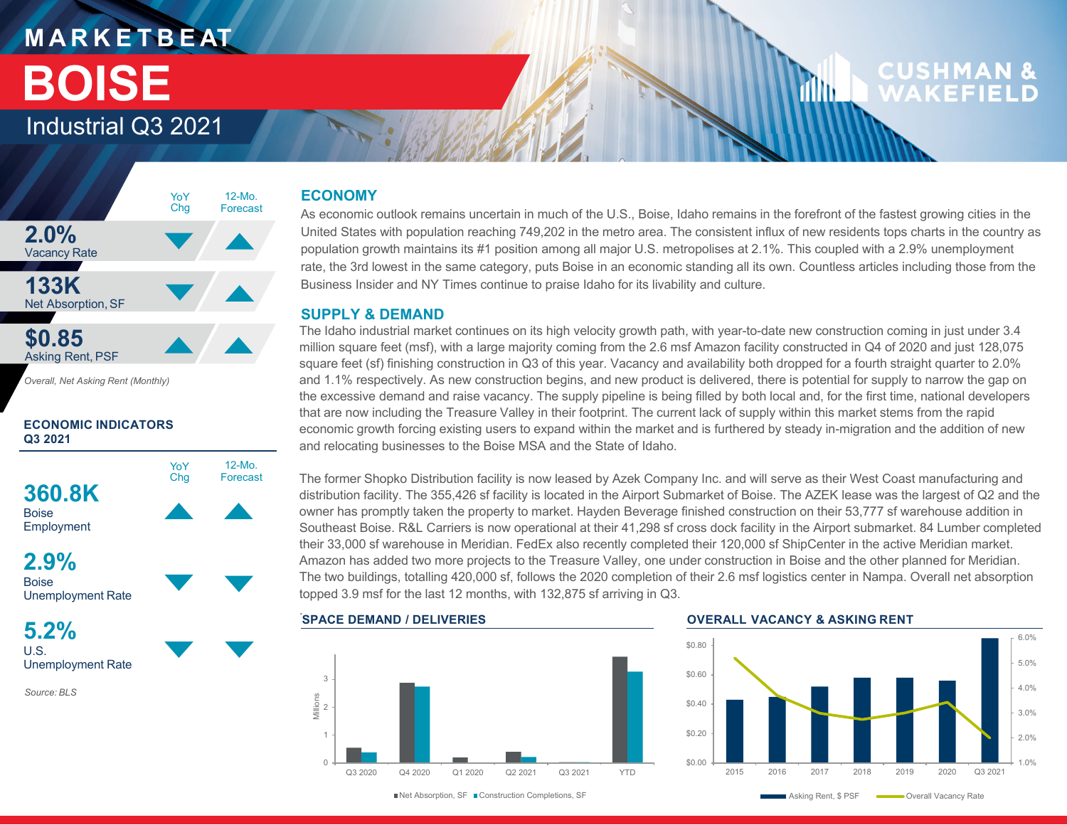### **M A R K E T B E AT** Industrial Q3 2021 **BOISE**

### CUSHMAN **WAKFFIFI**



*Overall, Net Asking Rent (Monthly)*

#### **ECONOMIC INDICATORS Q3 2021**



**2.9%Boise** Unemployment Rate

**5.2%**U.S.Unemployment Rate

*Source: BLS*

#### **ECONOMY**

As economic outlook remains uncertain in much of the U.S., Boise, Idaho remains in the forefront of the fastest growing cities in the United States with population reaching 749,202 in the metro area. The consistent influx of new residents tops charts in the country as population growth maintains its #1 position among all major U.S. metropolises at 2.1%. This coupled with a 2.9% unemployment rate, the 3rd lowest in the same category, puts Boise in an economic standing all its own. Countless articles including those from the Business Insider and NY Times continue to praise Idaho for its livability and culture.

#### **SUPPLY & DEMAND**

The Idaho industrial market continues on its high velocity growth path, with year-to-date new construction coming in just under 3.4 million square feet (msf), with a large majority coming from the 2.6 msf Amazon facility constructed in Q4 of 2020 and just 128,075 square feet (sf) finishing construction in Q3 of this year. Vacancy and availability both dropped for a fourth straight quarter to 2.0% and 1.1% respectively. As new construction begins, and new product is delivered, there is potential for supply to narrow the gap on the excessive demand and raise vacancy. The supply pipeline is being filled by both local and, for the first time, national developers that are now including the Treasure Valley in their footprint. The current lack of supply within this market stems from the rapid economic growth forcing existing users to expand within the market and is furthered by steady in-migration and the addition of new and relocating businesses to the Boise MSA and the State of Idaho.

The former Shopko Distribution facility is now leased by Azek Company Inc. and will serve as their West Coast manufacturing and distribution facility. The 355,426 sf facility is located in the Airport Submarket of Boise. The AZEK lease was the largest of Q2 and the owner has promptly taken the property to market. Hayden Beverage finished construction on their 53,777 sf warehouse addition in Southeast Boise. R&L Carriers is now operational at their 41,298 sf cross dock facility in the Airport submarket. 84 Lumber completed their 33,000 sf warehouse in Meridian. FedEx also recently completed their 120,000 sf ShipCenter in the active Meridian market. Amazon has added two more projects to the Treasure Valley, one under construction in Boise and the other planned for Meridian. The two buildings, totalling 420,000 sf, follows the 2020 completion of their 2.6 msf logistics center in Nampa. Overall net absorption topped 3.9 msf for the last 12 months, with 132,875 sf arriving in Q3.



#### **OVERALL VACANCY & ASKING RENT**

illin.

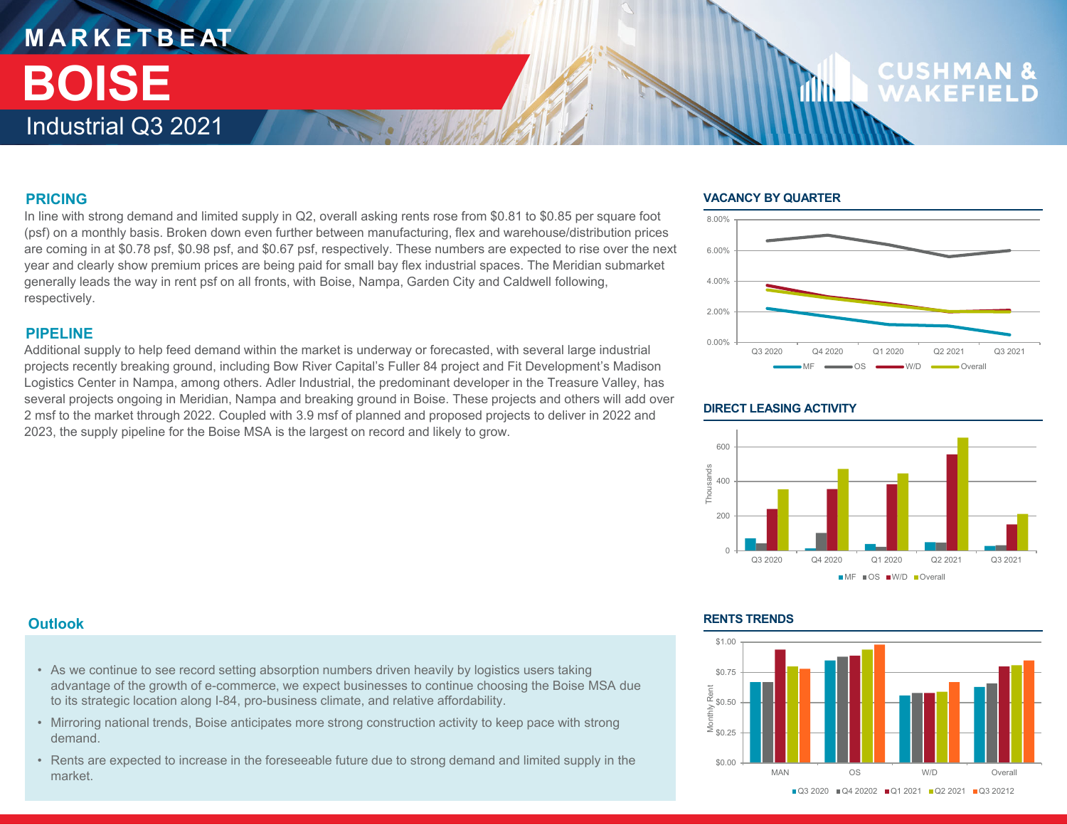### **M A R K E T B E AT** Industrial Q3 2021 **BOISE**

## **CUSHM**

#### **PRICING**

In line with strong demand and limited supply in Q2, overall asking rents rose from \$0.81 to \$0.85 per square foot (psf) on a monthly basis. Broken down even further between manufacturing, flex and warehouse/distribution prices are coming in at \$0.78 psf, \$0.98 psf, and \$0.67 psf, respectively. These numbers are expected to rise over the next year and clearly show premium prices are being paid for small bay flex industrial spaces. The Meridian submarket generally leads the way in rent psf on all fronts, with Boise, Nampa, Garden City and Caldwell following, respectively.

#### **PIPELINE**

Additional supply to help feed demand within the market is underway or forecasted, with several large industrial projects recently breaking ground, including Bow River Capital's Fuller 84 project and Fit Development's Madison Logistics Center in Nampa, among others. Adler Industrial, the predominant developer in the Treasure Valley, has several projects ongoing in Meridian, Nampa and breaking ground in Boise. These projects and others will add over 2 msf to the market through 2022. Coupled with 3.9 msf of planned and proposed projects to deliver in 2022 and 2023, the supply pipeline for the Boise MSA is the largest on record and likely to grow.

#### **VACANCY BY QUARTER**

1Mb



#### **DIRECT LEASING ACTIVITY**



#### **Outlook**

- As we continue to see record setting absorption numbers driven heavily by logistics users taking advantage of the growth of e-commerce, we expect businesses to continue choosing the Boise MSA due to its strategic location along I-84, pro-business climate, and relative affordability.
- Mirroring national trends, Boise anticipates more strong construction activity to keep pace with strong demand.
- Rents are expected to increase in the foreseeable future due to strong demand and limited supply in the market.

#### **RENTS TRENDS**

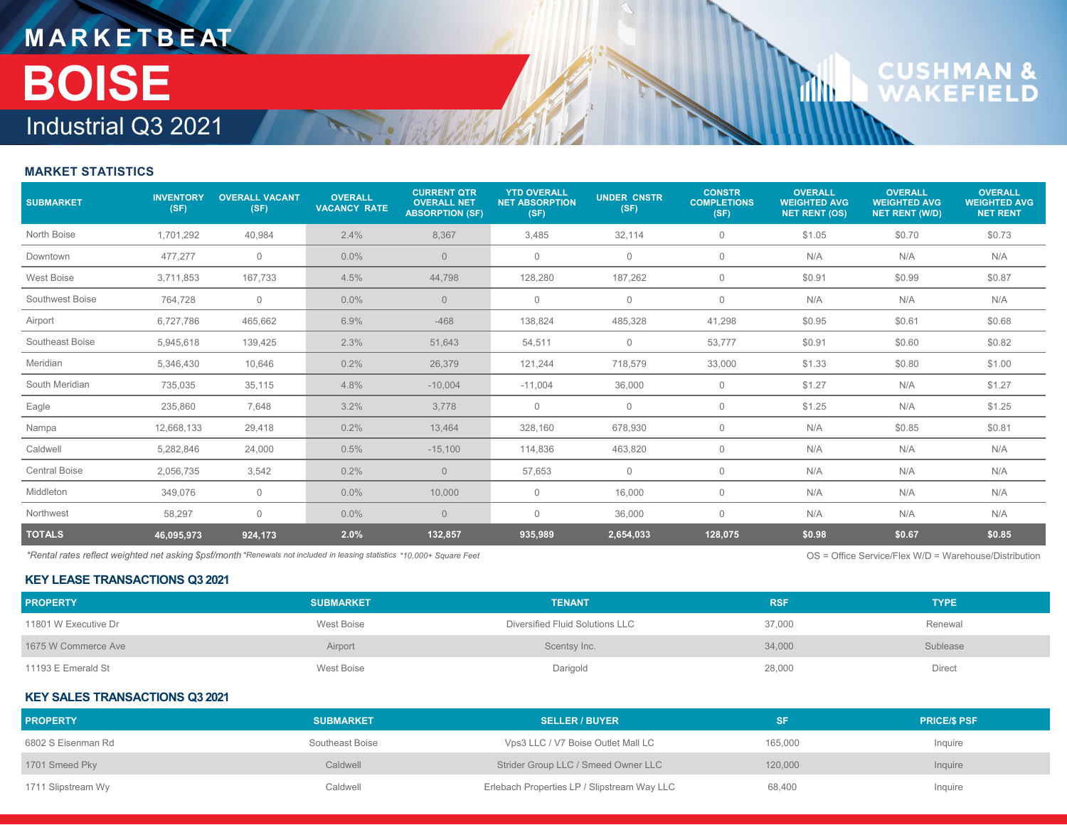## **M A R K E T B E AT** Industrial Q3 2021 **BOISE**

# **CUSHMAN &**<br>WAKEFIELD

**Tillu** 

#### **MARKET STATISTICS**

| <b>SUBMARKET</b>     | <b>INVENTORY</b><br>(SF) | <b>OVERALL VACANT</b><br>(SF) | <b>OVERALL</b><br><b>VACANCY RATE</b> | <b>CURRENT QTR</b><br><b>OVERALL NET</b><br><b>ABSORPTION (SF)</b> | <b>YTD OVERALL</b><br><b>NET ABSORPTION</b><br>(SF) | <b>UNDER CNSTR</b><br>(SF) | <b>CONSTR</b><br><b>COMPLETIONS</b><br>(SF) | <b>OVERALL</b><br><b>WEIGHTED AVG</b><br><b>NET RENT (OS)</b> | <b>OVERALL</b><br><b>WEIGHTED AVG</b><br><b>NET RENT (W/D)</b> | <b>OVERALL</b><br><b>WEIGHTED AVG</b><br><b>NET RENT</b> |
|----------------------|--------------------------|-------------------------------|---------------------------------------|--------------------------------------------------------------------|-----------------------------------------------------|----------------------------|---------------------------------------------|---------------------------------------------------------------|----------------------------------------------------------------|----------------------------------------------------------|
| North Boise          | 1,701,292                | 40,984                        | 2.4%                                  | 8,367                                                              | 3,485                                               | 32,114                     | 0                                           | \$1.05                                                        | \$0.70                                                         | \$0.73                                                   |
| Downtown             | 477,277                  | $\mathbf{0}$                  | $0.0\%$                               | $\overline{0}$                                                     | $\mathbf{0}$                                        | $\mathbf{0}$               | $\mathbf{0}$                                | N/A                                                           | N/A                                                            | N/A                                                      |
| West Boise           | 3,711,853                | 167,733                       | 4.5%                                  | 44,798                                                             | 128,280                                             | 187,262                    | $\mathbf 0$                                 | \$0.91                                                        | \$0.99                                                         | \$0.87                                                   |
| Southwest Boise      | 764,728                  | $\mathbf 0$                   | $0.0\%$                               | $\overline{0}$                                                     | $\mathbf 0$                                         | $\mathbf 0$                | 0                                           | N/A                                                           | N/A                                                            | N/A                                                      |
| Airport              | 6,727,786                | 465,662                       | 6.9%                                  | $-468$                                                             | 138,824                                             | 485,328                    | 41,298                                      | \$0.95                                                        | \$0.61                                                         | \$0.68                                                   |
| Southeast Boise      | 5,945,618                | 139,425                       | 2.3%                                  | 51,643                                                             | 54,511                                              | $\mathbf 0$                | 53,777                                      | \$0.91                                                        | \$0.60                                                         | \$0.82                                                   |
| Meridian             | 5,346,430                | 10,646                        | 0.2%                                  | 26,379                                                             | 121,244                                             | 718,579                    | 33,000                                      | \$1.33                                                        | \$0.80                                                         | \$1.00                                                   |
| South Meridian       | 735,035                  | 35,115                        | 4.8%                                  | $-10,004$                                                          | $-11,004$                                           | 36,000                     | $\mathbf 0$                                 | \$1.27                                                        | N/A                                                            | \$1.27                                                   |
| Eagle                | 235,860                  | 7,648                         | 3.2%                                  | 3,778                                                              | $\mathbf 0$                                         | $\mathbf 0$                | 0                                           | \$1.25                                                        | N/A                                                            | \$1.25                                                   |
| Nampa                | 12,668,133               | 29,418                        | 0.2%                                  | 13,464                                                             | 328,160                                             | 678,930                    | $\mathbf{0}$                                | N/A                                                           | \$0.85                                                         | \$0.81                                                   |
| Caldwell             | 5,282,846                | 24,000                        | 0.5%                                  | $-15,100$                                                          | 114,836                                             | 463,820                    | $\mathbf{0}$                                | N/A                                                           | N/A                                                            | N/A                                                      |
| <b>Central Boise</b> | 2,056,735                | 3,542                         | 0.2%                                  | $\overline{0}$                                                     | 57,653                                              | $\mathbf 0$                | $\mathbf{0}$                                | N/A                                                           | N/A                                                            | N/A                                                      |
| Middleton            | 349,076                  | $\mathbf 0$                   | $0.0\%$                               | 10,000                                                             | $\mathbf 0$                                         | 16,000                     | 0                                           | N/A                                                           | N/A                                                            | N/A                                                      |
| Northwest            | 58,297                   | $\mathbf{0}$                  | $0.0\%$                               | $\overline{0}$                                                     | $\mathbf 0$                                         | 36,000                     | $\mathbf 0$                                 | N/A                                                           | N/A                                                            | N/A                                                      |
| <b>TOTALS</b>        | 46,095,973               | 924,173                       | 2.0%                                  | 132,857                                                            | 935,989                                             | 2,654,033                  | 128,075                                     | \$0.98                                                        | \$0.67                                                         | \$0.85                                                   |

*\*Rental rates reflect weighted net asking \$psf/month \*Renewals not included in leasing statistics* OS = Office Service/Flex W/D = Warehouse/Distribution *\*10,000+ Square Feet*

#### **KEY LEASE TRANSACTIONS Q3 2021**

| <b>PROPERTY</b>      | <b>SUBMARKET</b> | <b>TENANT</b>                   | <b>RSF</b> | <b>TYPE</b> |
|----------------------|------------------|---------------------------------|------------|-------------|
| 11801 W Executive Dr | West Boise       | Diversified Fluid Solutions LLC | 37.000     | Renewal     |
| 1675 W Commerce Ave  | Airport          | Scentsy Inc.                    | 34,000     | Sublease    |
| 11193 E Emerald St   | West Boise       | Darigold                        | 28,000     | Direct      |

#### **KEY SALES TRANSACTIONS Q3 2021**

| <b>PROPERTY</b>    | <b>SUBMARKET</b> | <b>SELLER / BUYER</b>                       |         | <b>PRICE/S PSF</b> |
|--------------------|------------------|---------------------------------------------|---------|--------------------|
| 6802 S Eisenman Rd | Southeast Boise  | Vps3 LLC / V7 Boise Outlet Mall LC          | 165.000 | Inauire            |
| 1701 Smeed Pky     | Caldwell         | Strider Group LLC / Smeed Owner LLC         | 120,000 | Inquire            |
| 1711 Slipstream Wy | Caldwell         | Erlebach Properties LP / Slipstream Way LLC | 68.400  | Inquire            |